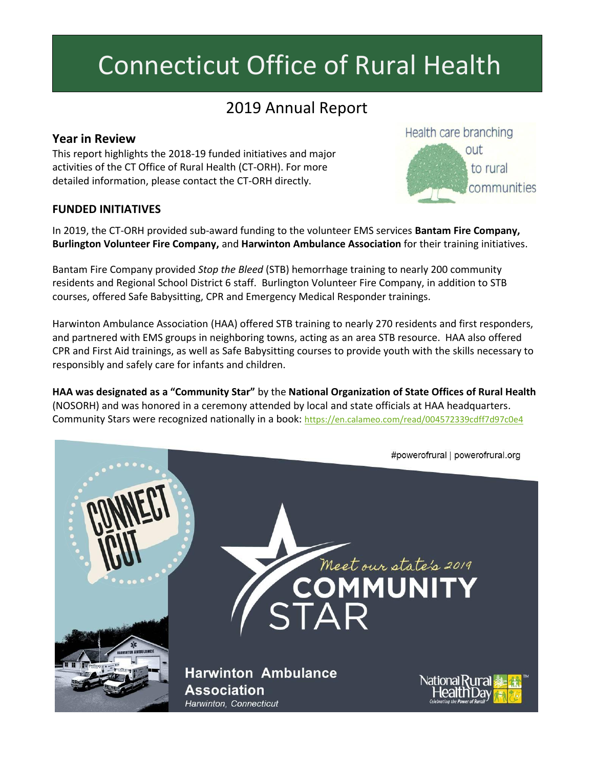# Connecticut Office of Rural Health

# 2019 Annual Report

# **Year in Review**

This report highlights the 2018-19 funded initiatives and major activities of the CT Office of Rural Health (CT-ORH). For more detailed information, please contact the CT-ORH directly.

#### **FUNDED INITIATIVES**

In 2019, the CT-ORH provided sub-award funding to the volunteer EMS services **Bantam Fire Company, Burlington Volunteer Fire Company,** and **Harwinton Ambulance Association** for their training initiatives.

Bantam Fire Company provided *Stop the Bleed* (STB) hemorrhage training to nearly 200 community residents and Regional School District 6 staff. Burlington Volunteer Fire Company, in addition to STB courses, offered Safe Babysitting, CPR and Emergency Medical Responder trainings.

Harwinton Ambulance Association (HAA) offered STB training to nearly 270 residents and first responders, and partnered with EMS groups in neighboring towns, acting as an area STB resource. HAA also offered CPR and First Aid trainings, as well as Safe Babysitting courses to provide youth with the skills necessary to responsibly and safely care for infants and children.

**HAA was designated as a "Community Star"** by the **National Organization of State Offices of Rural Health** (NOSORH) and was honored in a ceremony attended by local and state officials at HAA headquarters. Community Stars were recognized nationally in a book: <https://en.calameo.com/read/004572339cdff7d97c0e4>

#powerofrural | powerofrural.org Meet our state's 2019 **OMMUNIT Harwinton Ambulance** National **Association** Harwinton, Connecticut

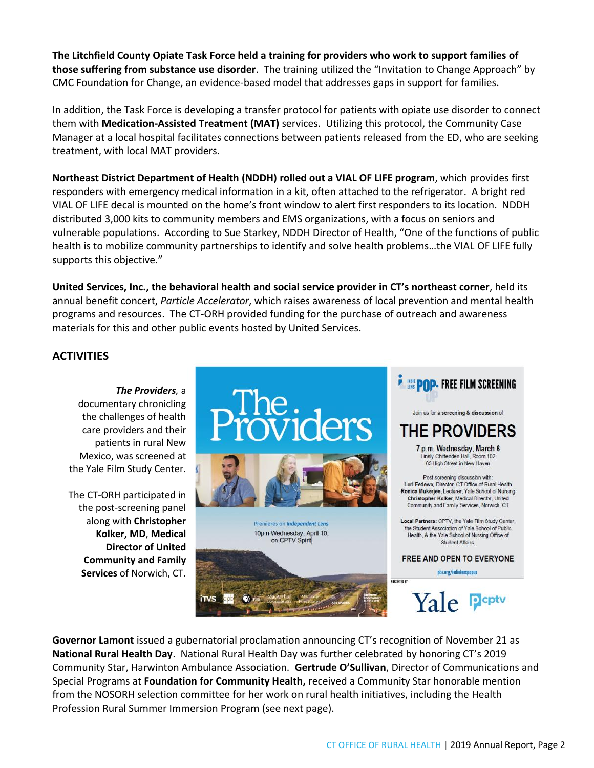**The Litchfield County Opiate Task Force held a training for providers who work to support families of those suffering from substance use disorder**. The training utilized the "Invitation to Change Approach" by CMC Foundation for Change, an evidence-based model that addresses gaps in support for families.

In addition, the Task Force is developing a transfer protocol for patients with opiate use disorder to connect them with **Medication-Assisted Treatment (MAT)** services. Utilizing this protocol, the Community Case Manager at a local hospital facilitates connections between patients released from the ED, who are seeking treatment, with local MAT providers.

**Northeast District Department of Health (NDDH) rolled out a VIAL OF LIFE program**, which provides first responders with emergency medical information in a kit, often attached to the refrigerator. A bright red VIAL OF LIFE decal is mounted on the home's front window to alert first responders to its location. NDDH distributed 3,000 kits to community members and EMS organizations, with a focus on seniors and vulnerable populations. According to Sue Starkey, NDDH Director of Health, "One of the functions of public health is to mobilize community partnerships to identify and solve health problems…the VIAL OF LIFE fully supports this objective."

**United Services, Inc., the behavioral health and social service provider in CT's northeast corner**, held its annual benefit concert, *Particle Accelerator*, which raises awareness of local prevention and mental health programs and resources. The CT-ORH provided funding for the purchase of outreach and awareness materials for this and other public events hosted by United Services.

### **ACTIVITIES**

*The Providers,* a documentary chronicling the challenges of health care providers and their patients in rural New Mexico, was screened at the Yale Film Study Center.

The CT-ORH participated in the post-screening panel along with **Christopher Kolker, MD**, **Medical Director of United Community and Family Services** of Norwich, CT.



**Governor Lamont** issued a gubernatorial proclamation announcing CT's recognition of November 21 as **National Rural Health Day**. National Rural Health Day was further celebrated by honoring CT's 2019 Community Star, Harwinton Ambulance Association. **Gertrude O'Sullivan**, Director of Communications and Special Programs at **Foundation for Community Health,** received a Community Star honorable mention from the NOSORH selection committee for her work on rural health initiatives, including the Health Profession Rural Summer Immersion Program (see next page).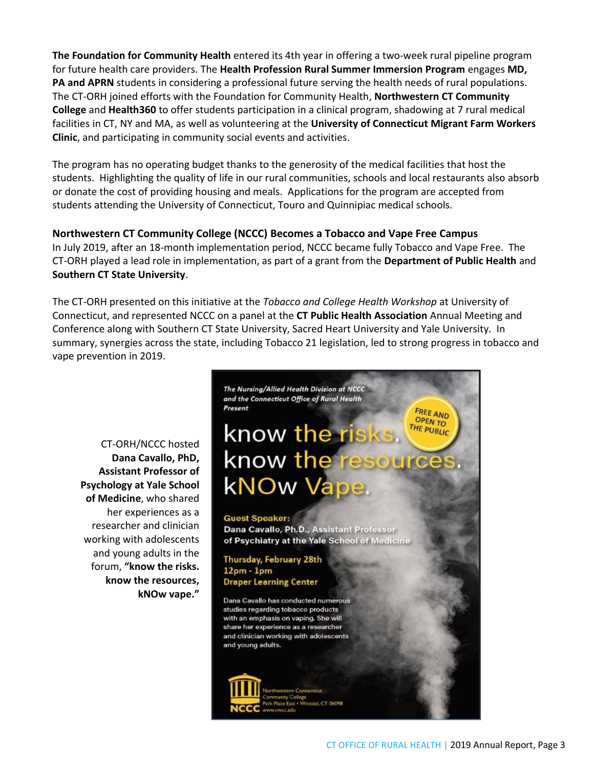**The Foundation for Community Health** entered its 4th year in offering a two-week rural pipeline program for future health care providers. The **Health Profession Rural Summer Immersion Program** engages **MD, PA and APRN** students in considering a professional future serving the health needs of rural populations. The CT-ORH joined efforts with the Foundation for Community Health, **Northwestern CT Community College** and **Health360** to offer students participation in a clinical program, shadowing at 7 rural medical facilities in CT, NY and MA, as well as volunteering at the **University of Connecticut Migrant Farm Workers Clinic**, and participating in community social events and activities.

The program has no operating budget thanks to the generosity of the medical facilities that host the students. Highlighting the quality of life in our rural communities, schools and local restaurants also absorb or donate the cost of providing housing and meals. Applications for the program are accepted from students attending the University of Connecticut, Touro and Quinnipiac medical schools.

#### **Northwestern CT Community College (NCCC) Becomes a Tobacco and Vape Free Campus**

In July 2019, after an 18-month implementation period, NCCC became fully Tobacco and Vape Free. The CT-ORH played a lead role in implementation, as part of a grant from the **Department of Public Health** and **Southern CT State University**.

The CT-ORH presented on this initiative at the *Tobacco and College Health Workshop* at University of Connecticut, and represented NCCC on a panel at the **CT Public Health Association** Annual Meeting and Conference along with Southern CT State University, Sacred Heart University and Yale University. In summary, synergies across the state, including Tobacco 21 legislation, led to strong progress in tobacco and vape prevention in 2019.

CT-ORH/NCCC hosted **Dana Cavallo, PhD, Assistant Professor of Psychology at Yale School of Medicine**, who shared her experiences as a researcher and clinician working with adolescents and young adults in the forum, **"know the risks. know the resources, kNOw vape."**



munity College<br>Place East - Winsted. CT 06098